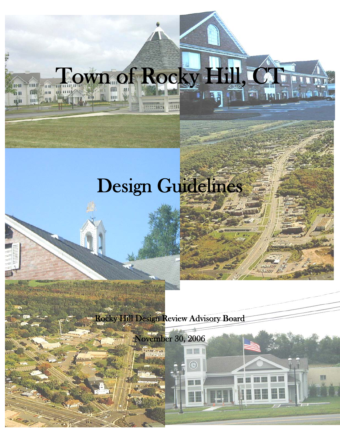

Town of Rocky Hill, CT

18.31

Rocky Hill Design Review Advisory Board

 $\frac{1}{2}$ November 30, 2006

Ⅲ 頭 |

 $\bigcirc$ 

■ 開

č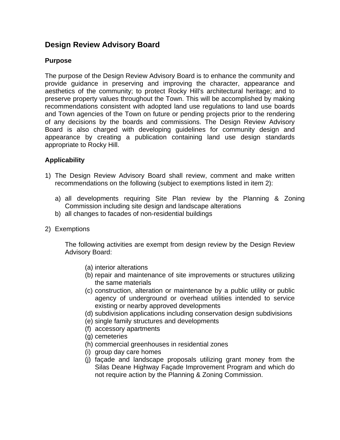# **Design Review Advisory Board**

# **Purpose**

The purpose of the Design Review Advisory Board is to enhance the community and provide guidance in preserving and improving the character, appearance and aesthetics of the community; to protect Rocky Hill's architectural heritage; and to preserve property values throughout the Town. This will be accomplished by making recommendations consistent with adopted land use regulations to land use boards and Town agencies of the Town on future or pending projects prior to the rendering of any decisions by the boards and commissions. The Design Review Advisory Board is also charged with developing guidelines for community design and appearance by creating a publication containing land use design standards appropriate to Rocky Hill.

# **Applicability**

- 1) The Design Review Advisory Board shall review, comment and make written recommendations on the following (subject to exemptions listed in item 2):
	- a) all developments requiring Site Plan review by the Planning & Zoning Commission including site design and landscape alterations
	- b) all changes to facades of non-residential buildings
- 2) Exemptions

The following activities are exempt from design review by the Design Review Advisory Board:

- (a) interior alterations
- (b) repair and maintenance of site improvements or structures utilizing the same materials
- (c) construction, alteration or maintenance by a public utility or public agency of underground or overhead utilities intended to service existing or nearby approved developments
- (d) subdivision applications including conservation design subdivisions
- (e) single family structures and developments
- (f) accessory apartments
- (g) cemeteries
- (h) commercial greenhouses in residential zones
- (i) group day care homes
- (j) façade and landscape proposals utilizing grant money from the Silas Deane Highway Façade Improvement Program and which do not require action by the Planning & Zoning Commission.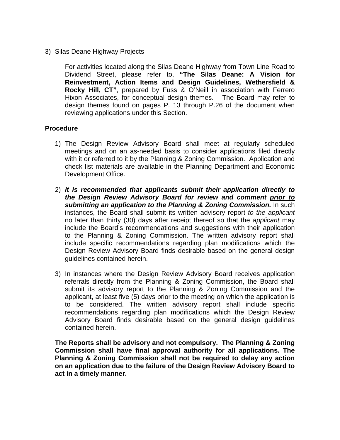3) Silas Deane Highway Projects

For activities located along the Silas Deane Highway from Town Line Road to Dividend Street, please refer to, **"The Silas Deane: A Vision for Reinvestment, Action Items and Design Guidelines, Wethersfield & Rocky Hill, CT"**, prepared by Fuss & O'Neill in association with Ferrero Hixon Associates, for conceptual design themes. The Board may refer to design themes found on pages P. 13 through P.26 of the document when reviewing applications under this Section.

#### **Procedure**

- 1) The Design Review Advisory Board shall meet at regularly scheduled meetings and on an as-needed basis to consider applications filed directly with it or referred to it by the Planning & Zoning Commission. Application and check list materials are available in the Planning Department and Economic Development Office.
- 2) *It is recommended that applicants submit their application directly to the Design Review Advisory Board for review and comment prior to* **submitting an application to the Planning & Zoning Commission.** In such instances, the Board shall submit its written advisory report *to the applicant* no later than thirty (30) days after receipt thereof so that the *applicant* may include the Board's recommendations and suggestions with their application to the Planning & Zoning Commission. The written advisory report shall include specific recommendations regarding plan modifications which the Design Review Advisory Board finds desirable based on the general design guidelines contained herein.
- 3) In instances where the Design Review Advisory Board receives application referrals directly from the Planning & Zoning Commission, the Board shall submit its advisory report to the Planning & Zoning Commission and the applicant, at least five (5) days prior to the meeting on which the application is to be considered. The written advisory report shall include specific recommendations regarding plan modifications which the Design Review Advisory Board finds desirable based on the general design guidelines contained herein.

**The Reports shall be advisory and not compulsory. The Planning & Zoning Commission shall have final approval authority for all applications. The Planning & Zoning Commission shall not be required to delay any action on an application due to the failure of the Design Review Advisory Board to act in a timely manner.**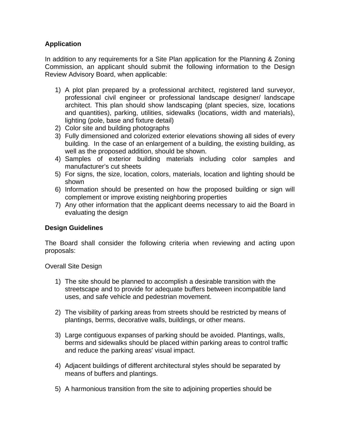# **Application**

In addition to any requirements for a Site Plan application for the Planning & Zoning Commission, an applicant should submit the following information to the Design Review Advisory Board, when applicable:

- 1) A plot plan prepared by a professional architect, registered land surveyor, professional civil engineer or professional landscape designer/ landscape architect. This plan should show landscaping (plant species, size, locations and quantities), parking, utilities, sidewalks (locations, width and materials), lighting (pole, base and fixture detail)
- 2) Color site and building photographs
- 3) Fully dimensioned and colorized exterior elevations showing all sides of every building. In the case of an enlargement of a building, the existing building, as well as the proposed addition, should be shown.
- 4) Samples of exterior building materials including color samples and manufacturer's cut sheets
- 5) For signs, the size, location, colors, materials, location and lighting should be shown
- 6) Information should be presented on how the proposed building or sign will complement or improve existing neighboring properties
- 7) Any other information that the applicant deems necessary to aid the Board in evaluating the design

## **Design Guidelines**

The Board shall consider the following criteria when reviewing and acting upon proposals:

Overall Site Design

- 1) The site should be planned to accomplish a desirable transition with the streetscape and to provide for adequate buffers between incompatible land uses, and safe vehicle and pedestrian movement.
- 2) The visibility of parking areas from streets should be restricted by means of plantings, berms, decorative walls, buildings, or other means.
- 3) Large contiguous expanses of parking should be avoided. Plantings, walls, berms and sidewalks should be placed within parking areas to control traffic and reduce the parking areas' visual impact.
- 4) Adjacent buildings of different architectural styles should be separated by means of buffers and plantings.
- 5) A harmonious transition from the site to adjoining properties should be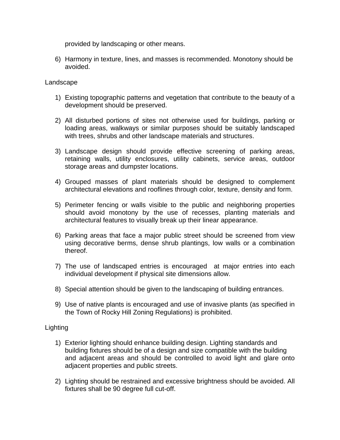provided by landscaping or other means.

6) Harmony in texture, lines, and masses is recommended. Monotony should be avoided.

### Landscape

- 1) Existing topographic patterns and vegetation that contribute to the beauty of a development should be preserved.
- 2) All disturbed portions of sites not otherwise used for buildings, parking or loading areas, walkways or similar purposes should be suitably landscaped with trees, shrubs and other landscape materials and structures.
- 3) Landscape design should provide effective screening of parking areas, retaining walls, utility enclosures, utility cabinets, service areas, outdoor storage areas and dumpster locations.
- 4) Grouped masses of plant materials should be designed to complement architectural elevations and rooflines through color, texture, density and form.
- 5) Perimeter fencing or walls visible to the public and neighboring properties should avoid monotony by the use of recesses, planting materials and architectural features to visually break up their linear appearance.
- 6) Parking areas that face a major public street should be screened from view using decorative berms, dense shrub plantings, low walls or a combination thereof.
- 7) The use of landscaped entries is encouraged at major entries into each individual development if physical site dimensions allow.
- 8) Special attention should be given to the landscaping of building entrances.
- 9) Use of native plants is encouraged and use of invasive plants (as specified in the Town of Rocky Hill Zoning Regulations) is prohibited.

## **Lighting**

- 1) Exterior lighting should enhance building design. Lighting standards and building fixtures should be of a design and size compatible with the building and adjacent areas and should be controlled to avoid light and glare onto adjacent properties and public streets.
- 2) Lighting should be restrained and excessive brightness should be avoided. All fixtures shall be 90 degree full cut-off.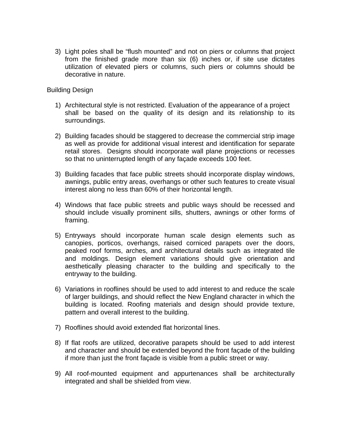3) Light poles shall be "flush mounted" and not on piers or columns that project from the finished grade more than six (6) inches or, if site use dictates utilization of elevated piers or columns, such piers or columns should be decorative in nature.

### Building Design

- 1) Architectural style is not restricted. Evaluation of the appearance of a project shall be based on the quality of its design and its relationship to its surroundings.
- 2) Building facades should be staggered to decrease the commercial strip image as well as provide for additional visual interest and identification for separate retail stores. Designs should incorporate wall plane projections or recesses so that no uninterrupted length of any façade exceeds 100 feet.
- 3) Building facades that face public streets should incorporate display windows, awnings, public entry areas, overhangs or other such features to create visual interest along no less than 60% of their horizontal length.
- 4) Windows that face public streets and public ways should be recessed and should include visually prominent sills, shutters, awnings or other forms of framing.
- 5) Entryways should incorporate human scale design elements such as canopies, porticos, overhangs, raised corniced parapets over the doors, peaked roof forms, arches, and architectural details such as integrated tile and moldings. Design element variations should give orientation and aesthetically pleasing character to the building and specifically to the entryway to the building.
- 6) Variations in rooflines should be used to add interest to and reduce the scale of larger buildings, and should reflect the New England character in which the building is located. Roofing materials and design should provide texture, pattern and overall interest to the building.
- 7) Rooflines should avoid extended flat horizontal lines.
- 8) If flat roofs are utilized, decorative parapets should be used to add interest and character and should be extended beyond the front façade of the building if more than just the front façade is visible from a public street or way.
- 9) All roof-mounted equipment and appurtenances shall be architecturally integrated and shall be shielded from view.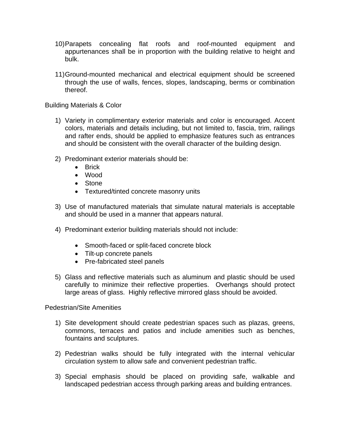- 10) Parapets concealing flat roofs and roof-mounted equipment and appurtenances shall be in proportion with the building relative to height and bulk.
- 11) Ground-mounted mechanical and electrical equipment should be screened through the use of walls, fences, slopes, landscaping, berms or combination thereof.

Building Materials & Color

- 1) Variety in complimentary exterior materials and color is encouraged. Accent colors, materials and details including, but not limited to, fascia, trim, railings and rafter ends, should be applied to emphasize features such as entrances and should be consistent with the overall character of the building design.
- 2) Predominant exterior materials should be:
	- Brick
	- Wood
	- Stone
	- Textured/tinted concrete masonry units
- 3) Use of manufactured materials that simulate natural materials is acceptable and should be used in a manner that appears natural.
- 4) Predominant exterior building materials should not include:
	- Smooth-faced or split-faced concrete block
	- Tilt-up concrete panels
	- Pre-fabricated steel panels
- 5) Glass and reflective materials such as aluminum and plastic should be used carefully to minimize their reflective properties. Overhangs should protect large areas of glass. Highly reflective mirrored glass should be avoided.

Pedestrian/Site Amenities

- 1) Site development should create pedestrian spaces such as plazas, greens, commons, terraces and patios and include amenities such as benches, fountains and sculptures.
- 2) Pedestrian walks should be fully integrated with the internal vehicular circulation system to allow safe and convenient pedestrian traffic.
- 3) Special emphasis should be placed on providing safe, walkable and landscaped pedestrian access through parking areas and building entrances.